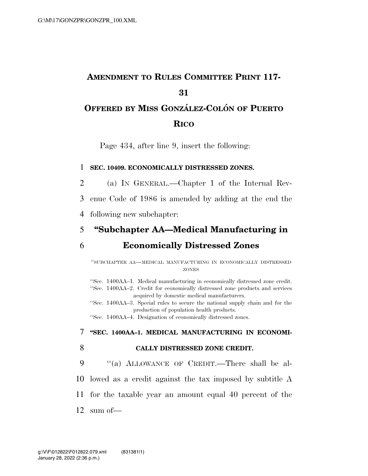# **AMENDMENT TO RULES COMMITTEE PRINT 117- 31 OFFERED BY MISS GONZA´ LEZ-COLO´ N OF PUERTO**

### **RICO**

Page 434, after line 9, insert the following:

#### 1 **SEC. 10409. ECONOMICALLY DISTRESSED ZONES.**

2 (a) IN GENERAL.—Chapter 1 of the Internal Rev-

3 enue Code of 1986 is amended by adding at the end the

4 following new subchapter:

# 5 **''Subchapter AA—Medical Manufacturing in**

## 6 **Economically Distressed Zones**

''SUBCHAPTER AA—MEDICAL MANUFACTURING IN ECONOMICALLY DISTRESSED ZONES

''Sec. 1400AA–1. Medical manufacturing in economically distressed zone credit. ''Sec. 1400AA–2. Credit for economically distressed zone products and services acquired by domestic medical manufacturers.

''Sec. 1400AA–3. Special rules to secure the national supply chain and for the production of population health products.

''Sec. 1400AA–4. Designation of economically distressed zones.

#### 7 **''SEC. 1400AA–1. MEDICAL MANUFACTURING IN ECONOMI-**

#### 8 **CALLY DISTRESSED ZONE CREDIT.**

9 ''(a) ALLOWANCE OF CREDIT.—There shall be al-10 lowed as a credit against the tax imposed by subtitle A 11 for the taxable year an amount equal 40 percent of the

12 sum of—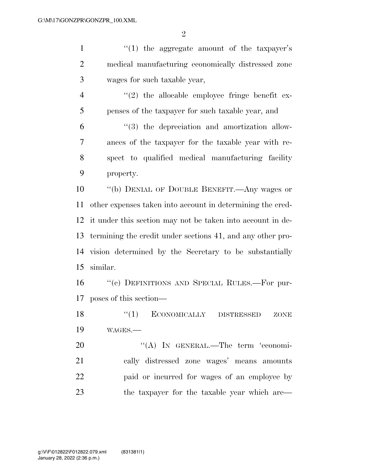$\mathfrak{D}$ 

1 ''(1) the aggregate amount of the taxpayer's medical manufacturing economically distressed zone wages for such taxable year,  $\frac{4}{2}$  ''(2) the allocable employee fringe benefit ex- penses of the taxpayer for such taxable year, and ''(3) the depreciation and amortization allow- ances of the taxpayer for the taxable year with re- spect to qualified medical manufacturing facility property. ''(b) DENIAL OF DOUBLE BENEFIT.—Any wages or other expenses taken into account in determining the cred- it under this section may not be taken into account in de- termining the credit under sections 41, and any other pro- vision determined by the Secretary to be substantially similar. ''(c) DEFINITIONS AND SPECIAL RULES.—For pur-poses of this section—

18 "(1) ECONOMICALLY DISTRESSED ZONE WAGES.—

20 "(A) In GENERAL.—The term 'economi- cally distressed zone wages' means amounts paid or incurred for wages of an employee by 23 the taxpayer for the taxable year which are—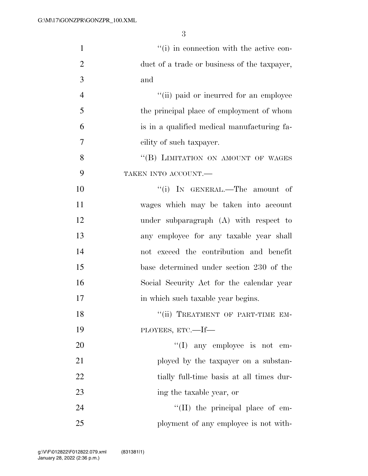| $\mathbf{1}$   | "(i) in connection with the active con-      |
|----------------|----------------------------------------------|
| $\overline{2}$ | duct of a trade or business of the taxpayer, |
| 3              | and                                          |
| $\overline{4}$ | "(ii) paid or incurred for an employee       |
| 5              | the principal place of employment of whom    |
| 6              | is in a qualified medical manufacturing fa-  |
| 7              | cility of such taxpayer.                     |
| 8              | "(B) LIMITATION ON AMOUNT OF WAGES           |
| 9              | TAKEN INTO ACCOUNT.                          |
| 10             | "(i) IN GENERAL.—The amount of               |
| 11             | wages which may be taken into account        |
| 12             | under subparagraph (A) with respect to       |
| 13             | any employee for any taxable year shall      |
| 14             | not exceed the contribution and benefit      |
| 15             | base determined under section 230 of the     |
| 16             | Social Security Act for the calendar year    |
| 17             | in which such taxable year begins.           |
| 18             | "(ii) TREATMENT OF PART-TIME EM-             |
| 19             | PLOYEES, ETC.-If-                            |
| 20             | $\lq\lq$ (I) any employee is not em-         |
| 21             | ployed by the taxpayer on a substan-         |
| 22             | tially full-time basis at all times dur-     |
| 23             | ing the taxable year, or                     |
| 24             | $\lq\lq$ (II) the principal place of em-     |
| 25             | ployment of any employee is not with-        |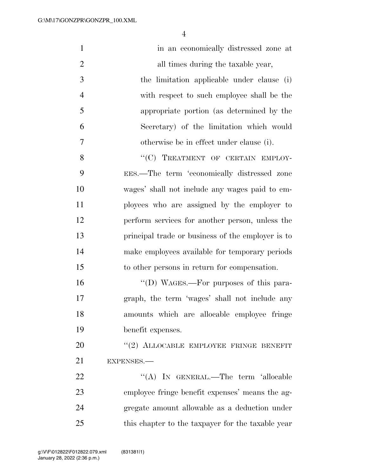| $\mathbf{1}$   | in an economically distressed zone at             |
|----------------|---------------------------------------------------|
| $\overline{2}$ | all times during the taxable year,                |
| 3              | the limitation applicable under clause (i)        |
| $\overline{4}$ | with respect to such employee shall be the        |
| 5              | appropriate portion (as determined by the         |
| 6              | Secretary) of the limitation which would          |
| $\tau$         | otherwise be in effect under clause (i).          |
| 8              | "(C) TREATMENT OF CERTAIN EMPLOY-                 |
| 9              | EES.—The term 'economically distressed zone       |
| 10             | wages' shall not include any wages paid to em-    |
| 11             | ployees who are assigned by the employer to       |
| 12             | perform services for another person, unless the   |
| 13             | principal trade or business of the employer is to |
| 14             | make employees available for temporary periods    |
| 15             | to other persons in return for compensation.      |
| 16             | "(D) WAGES.—For purposes of this para-            |
| 17             | graph, the term 'wages' shall not include any     |
| 18             | amounts which are allocable employee fringe       |
| 19             | benefit expenses.                                 |
| 20             | "(2) ALLOCABLE EMPLOYEE FRINGE BENEFIT            |
| 21             | EXPENSES.-                                        |
| 22             | "(A) IN GENERAL.—The term 'allocable              |
| 23             | employee fringe benefit expenses' means the ag-   |
| 24             | gregate amount allowable as a deduction under     |
| 25             | this chapter to the taxpayer for the taxable year |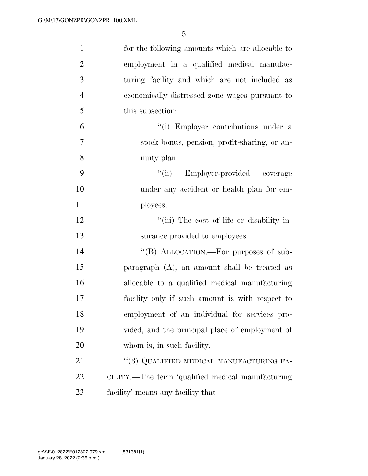| $\mathbf{1}$   | for the following amounts which are allocable to  |
|----------------|---------------------------------------------------|
| $\overline{2}$ | employment in a qualified medical manufac-        |
| 3              | turing facility and which are not included as     |
| $\overline{4}$ | economically distressed zone wages pursuant to    |
| 5              | this subsection:                                  |
| 6              | "(i) Employer contributions under a               |
| 7              | stock bonus, pension, profit-sharing, or an-      |
| 8              | nuity plan.                                       |
| 9              | Employer-provided coverage<br>``(ii)              |
| 10             | under any accident or health plan for em-         |
| 11             | ployees.                                          |
| 12             | "(iii) The cost of life or disability in-         |
| 13             | surance provided to employees.                    |
| 14             | "(B) ALLOCATION.—For purposes of sub-             |
| 15             | paragraph $(A)$ , an amount shall be treated as   |
| 16             | allocable to a qualified medical manufacturing    |
| 17             | facility only if such amount is with respect to   |
| 18             | employment of an individual for services pro-     |
| 19             | vided, and the principal place of employment of   |
| 20             | whom is, in such facility.                        |
| 21             | "(3) QUALIFIED MEDICAL MANUFACTURING FA-          |
| 22             | CILITY.—The term 'qualified medical manufacturing |
| 23             | facility' means any facility that—                |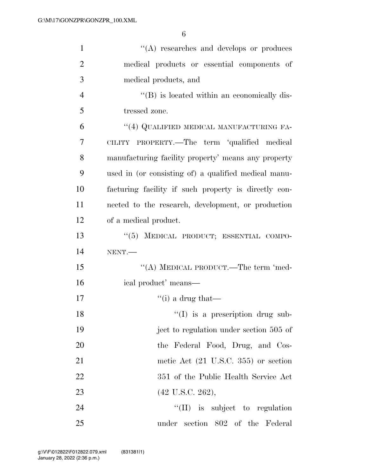| $\mathbf{1}$   | $\lq\lq$ researches and develops or produces         |
|----------------|------------------------------------------------------|
| $\overline{2}$ | medical products or essential components of          |
| 3              | medical products, and                                |
| $\overline{4}$ | "(B) is located within an economically dis-          |
| 5              | tressed zone.                                        |
| 6              | "(4) QUALIFIED MEDICAL MANUFACTURING FA-             |
| 7              | CILITY PROPERTY.—The term 'qualified medical         |
| 8              | manufacturing facility property' means any property  |
| 9              | used in (or consisting of) a qualified medical manu- |
| 10             | facturing facility if such property is directly con- |
| 11             | nected to the research, development, or production   |
| 12             | of a medical product.                                |
| 13             | "(5) MEDICAL PRODUCT; ESSENTIAL COMPO-               |
| 14             | NENT.                                                |
| 15             | "(A) MEDICAL PRODUCT.—The term 'med-                 |
| 16             | ical product' means—                                 |
| 17             | "(i) a drug that—                                    |
| 18             | $\lq(1)$ is a prescription drug sub-                 |
| 19             | ject to regulation under section 505 of              |
| 20             | the Federal Food, Drug, and Cos-                     |
| 21             | metic Act (21 U.S.C. 355) or section                 |
| 22             | 351 of the Public Health Service Act                 |
| 23             | $(42 \text{ U.S.C. } 262),$                          |
| 24             | $\lq\lq$ (II) is subject to regulation               |
| 25             | under section 802 of the Federal                     |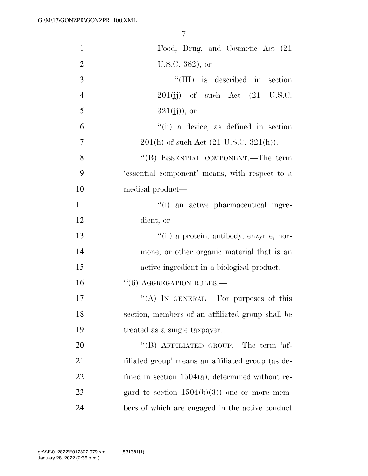| $\mathbf{1}$   | Food, Drug, and Cosmetic Act (21                     |
|----------------|------------------------------------------------------|
| $\overline{2}$ | U.S.C. 382), or                                      |
| 3              | $``(III)$ is described in section                    |
| $\overline{4}$ | $201(jj)$ of such Act $(21 \text{ U.S.C.})$          |
| 5              | $321(jj)),$ or                                       |
| 6              | "(ii) a device, as defined in section                |
| 7              | $201(h)$ of such Act $(21 \text{ U.S.C. } 321(h))$ . |
| 8              | "(B) ESSENTIAL COMPONENT.—The term                   |
| 9              | 'essential component' means, with respect to a       |
| 10             | medical product—                                     |
| 11             | "(i) an active pharmaceutical ingre-                 |
| 12             | dient, or                                            |
| 13             | "(ii) a protein, antibody, enzyme, hor-              |
| 14             | mone, or other organic material that is an           |
| 15             | active ingredient in a biological product.           |
| 16             | $``(6)$ AGGREGATION RULES.—                          |
| 17             | "(A) IN GENERAL.—For purposes of this                |
| 18             | section, members of an affiliated group shall be     |
| 19             | treated as a single taxpayer.                        |
| 20             | "(B) AFFILIATED GROUP.—The term 'af-                 |
| 21             | filiated group' means an affiliated group (as de-    |
| 22             | fined in section $1504(a)$ , determined without re-  |
| 23             | gard to section $1504(b)(3)$ one or more mem-        |
| 24             | bers of which are engaged in the active conduct      |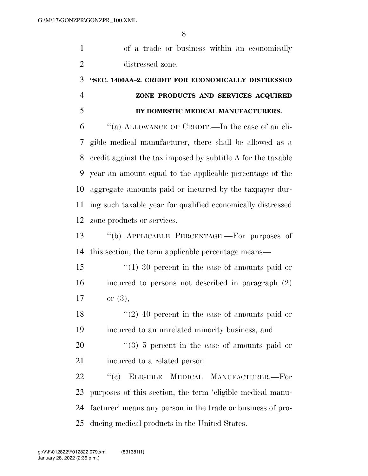| $\mathbf{1}$   | of a trade or business within an economically                 |
|----------------|---------------------------------------------------------------|
| $\overline{2}$ | distressed zone.                                              |
| 3              | "SEC. 1400AA-2. CREDIT FOR ECONOMICALLY DISTRESSED            |
| $\overline{4}$ | ZONE PRODUCTS AND SERVICES ACQUIRED                           |
| 5              | BY DOMESTIC MEDICAL MANUFACTURERS.                            |
| 6              | "(a) ALLOWANCE OF CREDIT.—In the case of an eli-              |
| 7              | gible medical manufacturer, there shall be allowed as a       |
| 8              | eredit against the tax imposed by subtitle A for the taxable  |
| 9              | year an amount equal to the applicable percentage of the      |
| 10             | aggregate amounts paid or incurred by the taxpayer dur-       |
| 11             | ing such taxable year for qualified economically distressed   |
| 12             | zone products or services.                                    |
| 13             | "(b) APPLICABLE PERCENTAGE.—For purposes of                   |
| 14             | this section, the term applicable percentage means—           |
| 15             | $(1)$ 30 percent in the case of amounts paid or               |
| 16             | incurred to persons not described in paragraph (2)            |
| 17             | or $(3)$ ,                                                    |
| 18             | $(2)$ 40 percent in the case of amounts paid or               |
| 19             | incurred to an unrelated minority business, and               |
| 20             | $\cdot\cdot\cdot(3)$ 5 percent in the case of amounts paid or |
| 21             | incurred to a related person.                                 |
| 22             | ``(e)<br>ELIGIBLE MEDICAL MANUFACTURER.-For                   |
| 23             | purposes of this section, the term 'eligible medical manu-    |
| 24             | facturer' means any person in the trade or business of pro-   |
| 25             | ducing medical products in the United States.                 |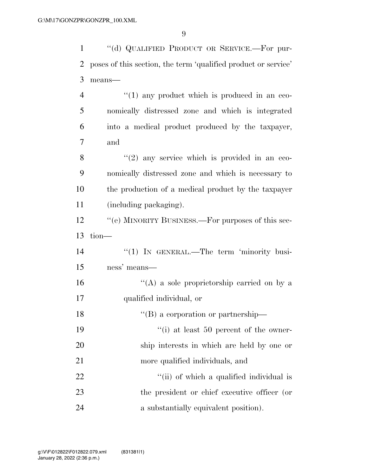| $\mathbf{1}$   | "(d) QUALIFIED PRODUCT OR SERVICE.-For pur-                    |
|----------------|----------------------------------------------------------------|
| $\overline{2}$ | poses of this section, the term 'qualified product or service' |
| 3              | means-                                                         |
| $\overline{4}$ | $``(1)$ any product which is produced in an eco-               |
| 5              | nomically distressed zone and which is integrated              |
| 6              | into a medical product produced by the taxpayer,               |
| $\overline{7}$ | and                                                            |
| 8              | $(2)$ any service which is provided in an eco-                 |
| 9              | nomically distressed zone and which is necessary to            |
| 10             | the production of a medical product by the taxpayer            |
| 11             | (including packaging).                                         |
| 12             | "(e) MINORITY BUSINESS.—For purposes of this sec-              |
| 13             | $tion$ —                                                       |
| 14             | $\lq(1)$ In GENERAL.—The term 'minority busi-                  |
| 15             | ness' means—                                                   |
| 16             | "(A) a sole proprietorship carried on by a                     |
| 17             | qualified individual, or                                       |
| 18             | "(B) a corporation or partnership—                             |
| 19             | $\lq\lq$ (i) at least 50 percent of the owner-                 |
| 20             | ship interests in which are held by one or                     |
| 21             | more qualified individuals, and                                |
| 22             | "(ii) of which a qualified individual is                       |
| 23             | the president or chief executive officer (or                   |
| 24             | a substantially equivalent position).                          |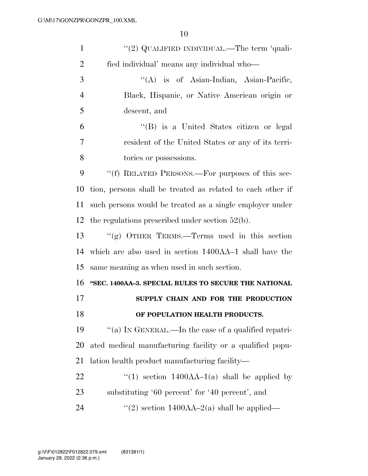| $\mathbf{1}$   | "(2) QUALIFIED INDIVIDUAL.—The term 'quali-                |
|----------------|------------------------------------------------------------|
| $\overline{2}$ | fied individual' means any individual who-                 |
| 3              | "(A) is of Asian-Indian, Asian-Pacific,                    |
| $\overline{4}$ | Black, Hispanic, or Native American origin or              |
| 5              | descent, and                                               |
| 6              | "(B) is a United States citizen or legal                   |
| 7              | resident of the United States or any of its terri-         |
| 8              | tories or possessions.                                     |
| 9              | "(f) RELATED PERSONS.—For purposes of this sec-            |
| 10             | tion, persons shall be treated as related to each other if |
| 11             | such persons would be treated as a single employer under   |
| 12             | the regulations prescribed under section $52(b)$ .         |
| 13             | "(g) OTHER TERMS.—Terms used in this section               |
| 14             | which are also used in section 1400AA-1 shall have the     |
| 15             | same meaning as when used in such section.                 |
| 16             |                                                            |
|                | "SEC. 1400AA-3. SPECIAL RULES TO SECURE THE NATIONAL       |
| 17             | SUPPLY CHAIN AND FOR THE PRODUCTION                        |
| 18             | OF POPULATION HEALTH PRODUCTS.                             |
| 19             | "(a) IN GENERAL.—In the case of a qualified repatri-       |
| 20             | ated medical manufacturing facility or a qualified popu-   |
| 21             | lation health product manufacturing facility—              |
| 22             | "(1) section $1400AA-1(a)$ shall be applied by             |
| 23             | substituting '60 percent' for '40 percent', and            |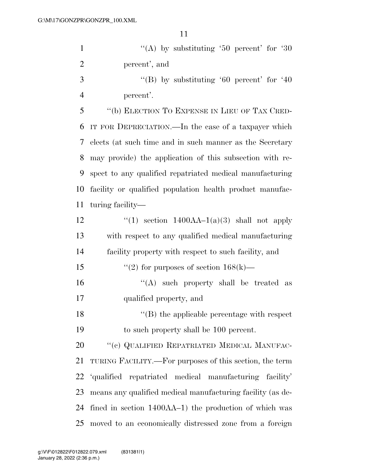|                | ⊥⊥                                                         |
|----------------|------------------------------------------------------------|
| $\mathbf{1}$   | "(A) by substituting '50 percent' for '30                  |
| $\overline{2}$ | percent', and                                              |
| 3              | "(B) by substituting '60 percent' for '40"                 |
| $\overline{4}$ | percent'.                                                  |
| 5              | "(b) ELECTION TO EXPENSE IN LIEU OF TAX CRED-              |
| 6              | IT FOR DEPRECIATION.—In the case of a taxpayer which       |
| 7              | elects (at such time and in such manner as the Secretary   |
| 8              | may provide) the application of this subsection with re-   |
| 9              | spect to any qualified repatriated medical manufacturing   |
| 10             | facility or qualified population health product manufac-   |
| 11             | turing facility-                                           |
| 12             | "(1) section $1400AA-1(a)(3)$ shall not apply              |
| 13             | with respect to any qualified medical manufacturing        |
| 14             | facility property with respect to such facility, and       |
| 15             | "(2) for purposes of section $168(k)$ —                    |
| 16             | $\lq\lq$ such property shall be treated<br>as              |
| 17             | qualified property, and                                    |
| 18             | $\lq\lq$ the applicable percentage with respect            |
| 19             | to such property shall be 100 percent.                     |
| 20             | "(c) QUALIFIED REPATRIATED MEDICAL MANUFAC-                |
| 21             | TURING FACILITY.—For purposes of this section, the term    |
| 22             | 'qualified repatriated medical manufacturing facility'     |
| 23             | means any qualified medical manufacturing facility (as de- |

 fined in section 1400AA–1) the production of which was moved to an economically distressed zone from a foreign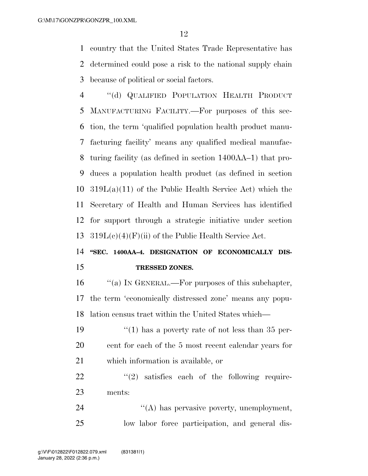country that the United States Trade Representative has determined could pose a risk to the national supply chain because of political or social factors.

 ''(d) QUALIFIED POPULATION HEALTH PRODUCT MANUFACTURING FACILITY.—For purposes of this sec- tion, the term 'qualified population health product manu- facturing facility' means any qualified medical manufac- turing facility (as defined in section 1400AA–1) that pro- duces a population health product (as defined in section 319L(a)(11) of the Public Health Service Act) which the Secretary of Health and Human Services has identified for support through a strategic initiative under section  $319L(c)(4)$ (F)(ii) of the Public Health Service Act.

## 14 "SEC. 1400AA-4. DESIGNATION OF ECONOMICALLY DIS-**TRESSED ZONES.**

 ''(a) IN GENERAL.—For purposes of this subchapter, the term 'economically distressed zone' means any popu-lation census tract within the United States which—

19  $\frac{1}{2}$  (1) has a poverty rate of not less than 35 per- cent for each of the 5 most recent calendar years for which information is available, or

  $(2)$  satisfies each of the following require-ments:

24  $\langle A \rangle$  has pervasive poverty, unemployment, low labor force participation, and general dis-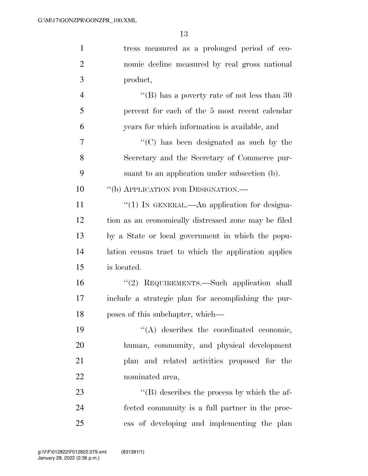| $\mathbf{1}$   | tress measured as a prolonged period of eco-         |
|----------------|------------------------------------------------------|
| $\overline{2}$ | nomic decline measured by real gross national        |
| 3              | product,                                             |
| $\overline{4}$ | "(B) has a poverty rate of not less than 30"         |
| 5              | percent for each of the 5 most recent calendar       |
| 6              | years for which information is available, and        |
| 7              | $\lq\lq$ (C) has been designated as such by the      |
| 8              | Secretary and the Secretary of Commerce pur-         |
| 9              | suant to an application under subsection (b).        |
| 10             | "(b) APPLICATION FOR DESIGNATION.—                   |
| 11             | "(1) IN GENERAL.—An application for designa-         |
| 12             | tion as an economically distressed zone may be filed |
| 13             | by a State or local government in which the popu-    |
| 14             | lation census tract to which the application applies |
| 15             | is located.                                          |
| 16             | "(2) REQUIREMENTS.—Such application shall            |
| 17             | include a strategic plan for accomplishing the pur-  |
| 18             | poses of this subchapter, which—                     |
| 19             | $\lq\lq$ describes the coordinated economic,         |
| 20             | human, community, and physical development           |
| 21             | plan and related activities proposed for the         |
| 22             | nominated area,                                      |
| 23             | $\lq\lq$ describes the process by which the af-      |
| 24             | fected community is a full partner in the proc-      |
| 25             | ess of developing and implementing the plan          |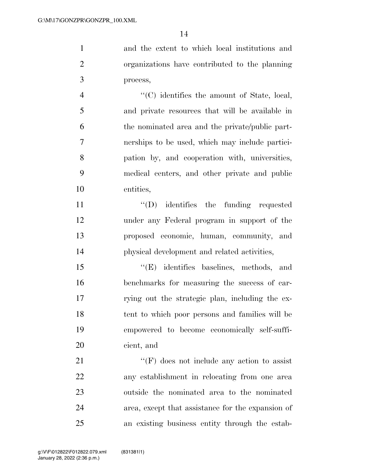and the extent to which local institutions and organizations have contributed to the planning process,

 $\langle ^{\prime}(C) \rangle$  identifies the amount of State, local, and private resources that will be available in the nominated area and the private/public part- nerships to be used, which may include partici- pation by, and cooperation with, universities, medical centers, and other private and public entities,

 $\text{``(D)}$  identifies the funding requested under any Federal program in support of the proposed economic, human, community, and physical development and related activities,

15 "'(E) identifies baselines, methods, and benchmarks for measuring the success of car- rying out the strategic plan, including the ex- tent to which poor persons and families will be empowered to become economically self-suffi-cient, and

21 ''(F) does not include any action to assist any establishment in relocating from one area outside the nominated area to the nominated area, except that assistance for the expansion of an existing business entity through the estab-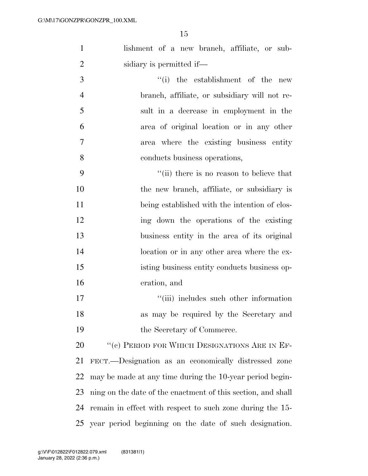| $\mathbf{1}$   | lishment of a new branch, affiliate, or sub-                 |  |
|----------------|--------------------------------------------------------------|--|
| $\overline{2}$ | sidiary is permitted if—                                     |  |
| 3              | "(i) the establishment of the new                            |  |
| $\overline{4}$ | branch, affiliate, or subsidiary will not re-                |  |
| 5              | sult in a decrease in employment in the                      |  |
| 6              | area of original location or in any other                    |  |
| 7              | area where the existing business entity                      |  |
| 8              | conducts business operations,                                |  |
| 9              | "(ii) there is no reason to believe that                     |  |
| 10             | the new branch, affiliate, or subsidiary is                  |  |
| 11             | being established with the intention of clos-                |  |
| 12             | ing down the operations of the existing                      |  |
| 13             | business entity in the area of its original                  |  |
| 14             | location or in any other area where the ex-                  |  |
| 15             | isting business entity conducts business op-                 |  |
| 16             | eration, and                                                 |  |
| 17             | "(iii) includes such other information                       |  |
| 18             | as may be required by the Secretary and                      |  |
| 19             | the Secretary of Commerce.                                   |  |
| 20             | "(c) PERIOD FOR WHICH DESIGNATIONS ARE IN EF-                |  |
| 21             | FECT.—Designation as an economically distressed zone         |  |
| 22             | may be made at any time during the 10-year period begin-     |  |
| 23             | ning on the date of the enactment of this section, and shall |  |
| 24             | remain in effect with respect to such zone during the 15-    |  |

year period beginning on the date of such designation.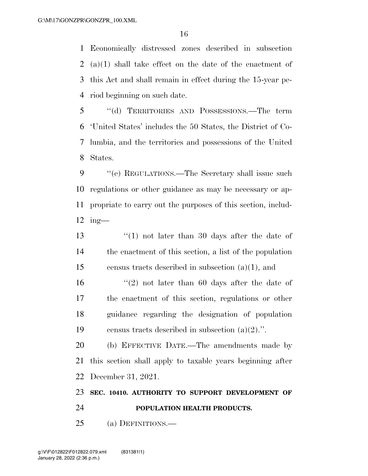Economically distressed zones described in subsection (a)(1) shall take effect on the date of the enactment of this Act and shall remain in effect during the 15-year pe-riod beginning on such date.

 ''(d) TERRITORIES AND POSSESSIONS.—The term 'United States' includes the 50 States, the District of Co- lumbia, and the territories and possessions of the United States.

9 "'(e) REGULATIONS.—The Secretary shall issue such regulations or other guidance as may be necessary or ap- propriate to carry out the purposes of this section, includ-ing—

13 ''(1) not later than 30 days after the date of the enactment of this section, a list of the population 15 census tracts described in subsection  $(a)(1)$ , and

 $\frac{1}{2}$  not later than 60 days after the date of the enactment of this section, regulations or other guidance regarding the designation of population 19 census tracts described in subsection  $(a)(2)$ .".

 (b) EFFECTIVE DATE.—The amendments made by this section shall apply to taxable years beginning after December 31, 2021.

### **SEC. 10410. AUTHORITY TO SUPPORT DEVELOPMENT OF**

**POPULATION HEALTH PRODUCTS.** 

(a) DEFINITIONS.—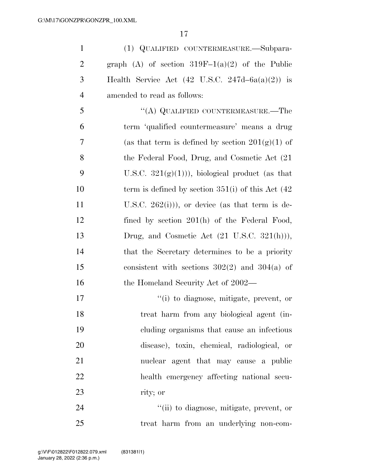1 (1) QUALIFIED COUNTERMEASURE.—Subpara-2 graph (A) of section  $319F-1(a)(2)$  of the Public 3 Health Service Act  $(42 \text{ U.S.C. } 247d - 6a(a)(2))$  is 4 amended to read as follows:

5 "(A) QUALIFIED COUNTERMEASURE.—The 6 term 'qualified countermeasure' means a drug 7 (as that term is defined by section  $201(g)(1)$  of 8 the Federal Food, Drug, and Cosmetic Act (21 9 U.S.C.  $321(g(1))$ , biological product (as that 10 term is defined by section 351(i) of this Act (42) 11 U.S.C.  $262(i)$ , or device (as that term is de-12 fined by section 201(h) of the Federal Food, 13 Drug, and Cosmetic Act  $(21 \text{ U.S.C. } 321(\text{h}))),$ 14 that the Secretary determines to be a priority 15 consistent with sections 302(2) and 304(a) of 16 the Homeland Security Act of 2002—

 ''(i) to diagnose, mitigate, prevent, or treat harm from any biological agent (in- cluding organisms that cause an infectious disease), toxin, chemical, radiological, or nuclear agent that may cause a public health emergency affecting national secu-rity; or

24  $(iii)$  to diagnose, mitigate, prevent, or 25 treat harm from an underlying non-com-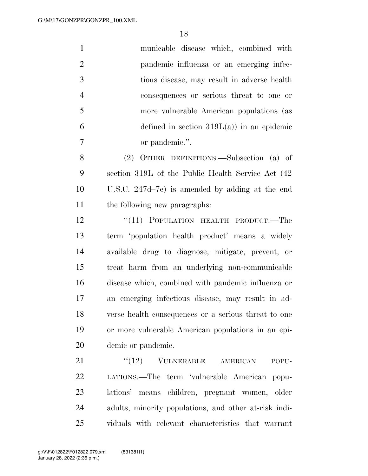|   | municable disease which, combined with      |
|---|---------------------------------------------|
| 2 | pandemic influenza or an emerging infec-    |
| 3 | tious disease, may result in adverse health |
|   | consequences or serious threat to one or    |
| 5 | more vulnerable American populations (as    |
| 6 | defined in section $319L(a)$ in an epidemic |
|   | or pandemic.".                              |
|   |                                             |

 (2) OTHER DEFINITIONS.—Subsection (a) of section 319L of the Public Health Service Act (42 U.S.C. 247d–7e) is amended by adding at the end the following new paragraphs:

12 "(11) POPULATION HEALTH PRODUCT.—The term 'population health product' means a widely available drug to diagnose, mitigate, prevent, or treat harm from an underlying non-communicable disease which, combined with pandemic influenza or an emerging infectious disease, may result in ad- verse health consequences or a serious threat to one or more vulnerable American populations in an epi-demic or pandemic.

21 "(12) VULNERABLE AMERICAN POPU- LATIONS.—The term 'vulnerable American popu- lations' means children, pregnant women, older adults, minority populations, and other at-risk indi-viduals with relevant characteristics that warrant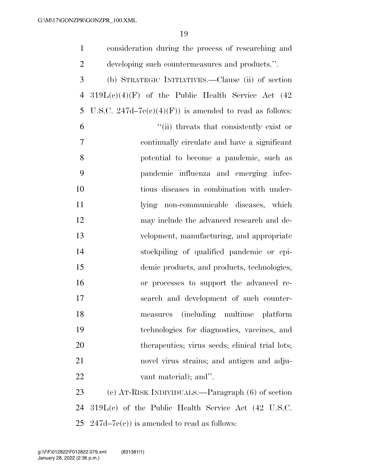| $\mathbf{1}$   | consideration during the process of researching and     |
|----------------|---------------------------------------------------------|
| $\overline{2}$ | developing such countermeasures and products.".         |
| 3              | (b) STRATEGIC INITIATIVES.—Clause (ii) of section       |
| $\overline{4}$ | $319L(e)(4)(F)$ of the Public Health Service Act (42    |
| 5              | U.S.C. 247d–7e(c)(4)(F)) is amended to read as follows: |
| 6              | "(ii) threats that consistently exist or                |
| 7              | continually circulate and have a significant            |
| 8              | potential to become a pandemic, such as                 |
| 9              | pandemic influenza and emerging infec-                  |
| 10             | tious diseases in combination with under-               |
| 11             | lying non-communicable diseases, which                  |
| 12             | may include the advanced research and de-               |
| 13             | velopment, manufacturing, and appropriate               |
| 14             | stockpiling of qualified pandemic or epi-               |
| 15             | demic products, and products, technologies,             |
| 16             | or processes to support the advanced re-                |
| 17             | search and development of such counter-                 |
| 18             | (including multiuse platform)<br>measures               |
| 19             | technologies for diagnostics, vaccines, and             |
| 20             | therapeutics; virus seeds; clinical trial lots;         |
| 21             | novel virus strains; and antigen and adju-              |
| 22             | vant material); and".                                   |
| 23             | (c) AT-RISK INDIVIDUALS.—Paragraph (6) of section       |
| 24             | $319L(c)$ of the Public Health Service Act (42 U.S.C.   |
| 25             | $247d-7e(c)$ is amended to read as follows:             |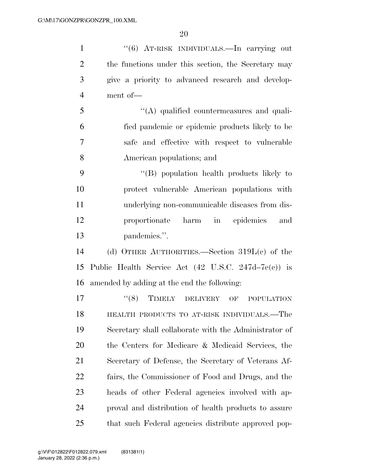| $\mathbf{1}$   | "(6) AT-RISK INDIVIDUALS.—In carrying out                      |
|----------------|----------------------------------------------------------------|
| $\overline{2}$ | the functions under this section, the Secretary may            |
| 3              | give a priority to advanced research and develop-              |
| $\overline{4}$ | ment of-                                                       |
| 5              | $\lq\lq$ qualified countermeasures and quali-                  |
| 6              | fied pandemic or epidemic products likely to be                |
| 7              | safe and effective with respect to vulnerable                  |
| 8              | American populations; and                                      |
| 9              | "(B) population health products likely to                      |
| 10             | protect vulnerable American populations with                   |
| 11             | underlying non-communicable diseases from dis-                 |
| 12             | proportionate harm in epidemics<br>and                         |
| 13             | pandemics.".                                                   |
| 14             | (d) OTHER AUTHORITIES.—Section $319L(e)$ of the                |
| 15             | Public Health Service Act $(42 \text{ U.S.C. } 247d-7e(c))$ is |
| 16             | amended by adding at the end the following:                    |
| 17             | "(8) TIMELY DELIVERY OF POPULATION                             |
| 18             | HEALTH PRODUCTS TO AT-RISK INDIVIDUALS.—The                    |
| 19             | Secretary shall collaborate with the Administrator of          |
| 20             | the Centers for Medicare & Medicaid Services, the              |
| 21             | Secretary of Defense, the Secretary of Veterans Af-            |
| 22             | fairs, the Commissioner of Food and Drugs, and the             |
| 23             | heads of other Federal agencies involved with ap-              |
| 24             | proval and distribution of health products to assure           |
| 25             | that such Federal agencies distribute approved pop-            |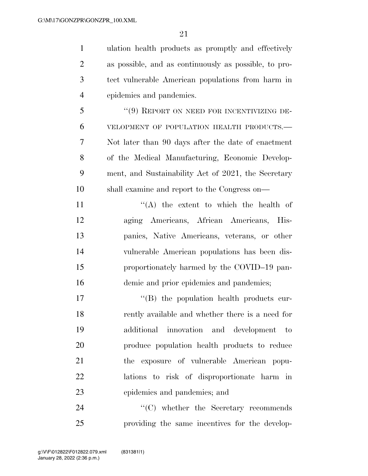ulation health products as promptly and effectively as possible, and as continuously as possible, to pro- tect vulnerable American populations from harm in epidemics and pandemics. 5 "(9) REPORT ON NEED FOR INCENTIVIZING DE- VELOPMENT OF POPULATION HEALTH PRODUCTS.— Not later than 90 days after the date of enactment

 of the Medical Manufacturing, Economic Develop- ment, and Sustainability Act of 2021, the Secretary shall examine and report to the Congress on—

 $((A)$  the extent to which the health of aging Americans, African Americans, His- panics, Native Americans, veterans, or other vulnerable American populations has been dis- proportionately harmed by the COVID–19 pan-16 demic and prior epidemics and pandemics;

 $\langle G \rangle$  the population health products cur- rently available and whether there is a need for additional innovation and development to produce population health products to reduce the exposure of vulnerable American popu- lations to risk of disproportionate harm in epidemics and pandemics; and

24  $\cdot$  (C) whether the Secretary recommends providing the same incentives for the develop-